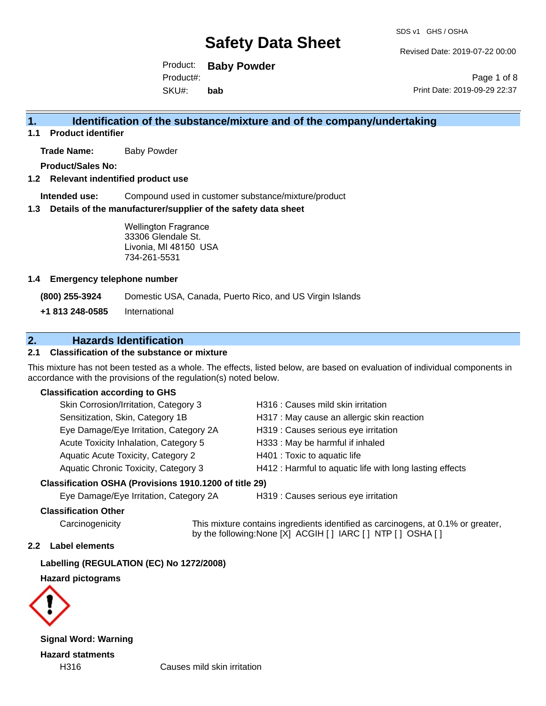Revised Date: 2019-07-22 00:00

Product: **Baby Powder** SKU#: Product#: **bab**

Page 1 of 8 Print Date: 2019-09-29 22:37

### **1. Identification of the substance/mixture and of the company/undertaking**

**1.1 Product identifier**

**Trade Name:** Baby Powder

**Product/Sales No:**

### **1.2 Relevant indentified product use**

**Intended use:** Compound used in customer substance/mixture/product

#### **1.3 Details of the manufacturer/supplier of the safety data sheet**

Wellington Fragrance 33306 Glendale St. Livonia, MI 48150 USA 734-261-5531

#### **1.4 Emergency telephone number**

**(800) 255-3924** Domestic USA, Canada, Puerto Rico, and US Virgin Islands

**+1 813 248-0585** International

### **2. Hazards Identification**

### **2.1 Classification of the substance or mixture**

This mixture has not been tested as a whole. The effects, listed below, are based on evaluation of individual components in accordance with the provisions of the regulation(s) noted below.

### **Classification according to GHS**

| Skin Corrosion/Irritation, Category 3       | H316 : Causes mild skin irritation                       |
|---------------------------------------------|----------------------------------------------------------|
| Sensitization, Skin, Category 1B            | H317 : May cause an allergic skin reaction               |
| Eye Damage/Eye Irritation, Category 2A      | H319 : Causes serious eye irritation                     |
| Acute Toxicity Inhalation, Category 5       | H333: May be harmful if inhaled                          |
| Aquatic Acute Toxicity, Category 2          | H401 : Toxic to aquatic life                             |
| <b>Aquatic Chronic Toxicity, Category 3</b> | H412 : Harmful to aquatic life with long lasting effects |
|                                             |                                                          |

### **Classification OSHA (Provisions 1910.1200 of title 29)**

Eye Damage/Eye Irritation, Category 2A H319 : Causes serious eye irritation

### **Classification Other**

Carcinogenicity This mixture contains ingredients identified as carcinogens, at 0.1% or greater, by the following:None [X] ACGIH [ ] IARC [ ] NTP [ ] OSHA [ ]

#### **2.2 Label elements**

**Labelling (REGULATION (EC) No 1272/2008)**

**Hazard pictograms**



**Signal Word: Warning Hazard statments**

H316 Causes mild skin irritation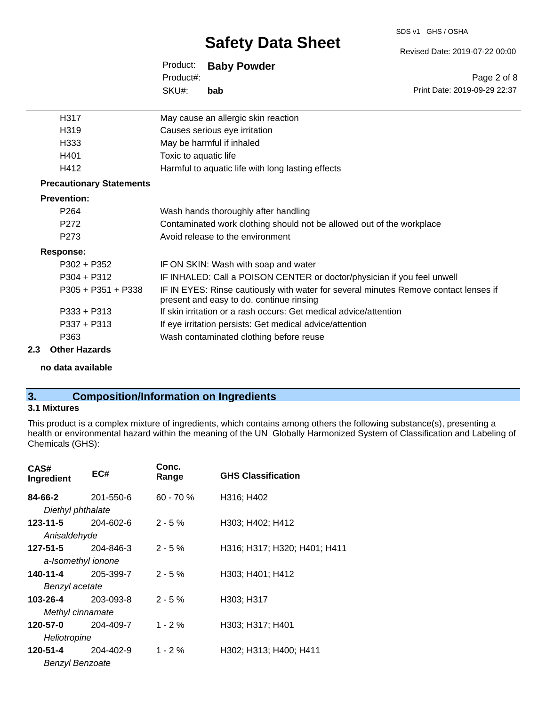#### SDS v1 GHS / OSHA

## **Safety Data Sheet**

Revised Date: 2019-07-22 00:00

Print Date: 2019-09-29 22:37

Page 2 of 8

| Product:  | <b>Baby Powder</b> |
|-----------|--------------------|
| Product#: |                    |
| SKU#:     | bab                |

| H317                            | May cause an allergic skin reaction                                                                                              |
|---------------------------------|----------------------------------------------------------------------------------------------------------------------------------|
| H319                            | Causes serious eye irritation                                                                                                    |
| H333                            | May be harmful if inhaled                                                                                                        |
| H401                            | Toxic to aquatic life                                                                                                            |
| H412                            | Harmful to aquatic life with long lasting effects                                                                                |
| <b>Precautionary Statements</b> |                                                                                                                                  |
| <b>Prevention:</b>              |                                                                                                                                  |
| P <sub>264</sub>                | Wash hands thoroughly after handling                                                                                             |
| P272                            | Contaminated work clothing should not be allowed out of the workplace                                                            |
| P273                            | Avoid release to the environment                                                                                                 |
| Response:                       |                                                                                                                                  |
| $P302 + P352$                   | IF ON SKIN: Wash with soap and water                                                                                             |
| $P304 + P312$                   | IF INHALED: Call a POISON CENTER or doctor/physician if you feel unwell                                                          |
| $P305 + P351 + P338$            | IF IN EYES: Rinse cautiously with water for several minutes Remove contact lenses if<br>present and easy to do. continue rinsing |
| $P333 + P313$                   | If skin irritation or a rash occurs: Get medical advice/attention                                                                |
| $P337 + P313$                   | If eye irritation persists: Get medical advice/attention                                                                         |
| P363                            | Wash contaminated clothing before reuse                                                                                          |
|                                 |                                                                                                                                  |

### **2.3 Other Hazards**

**no data available**

### **3. Composition/Information on Ingredients**

### **3.1 Mixtures**

This product is a complex mixture of ingredients, which contains among others the following substance(s), presenting a health or environmental hazard within the meaning of the UN Globally Harmonized System of Classification and Labeling of Chemicals (GHS):

| CAS#<br>Ingredient     | EC#                | Conc.<br>Range | <b>GHS Classification</b>    |
|------------------------|--------------------|----------------|------------------------------|
| 84-66-2                | 201-550-6          | $60 - 70 \%$   | H316; H402                   |
| Diethyl phthalate      |                    |                |                              |
| 123-11-5               | 204-602-6          | $2 - 5%$       | H303; H402; H412             |
| Anisaldehyde           |                    |                |                              |
| 127-51-5               | 204-846-3          | $2 - 5%$       | H316; H317; H320; H401; H411 |
|                        | a-Isomethyl ionone |                |                              |
| 140-11-4               | 205-399-7          | $2 - 5%$       | H303; H401; H412             |
| Benzyl acetate         |                    |                |                              |
| 103-26-4               | 203-093-8          | $2 - 5%$       | H303; H317                   |
| Methyl cinnamate       |                    |                |                              |
| 120-57-0               | 204-409-7          | $1 - 2 \%$     | H303; H317; H401             |
| Heliotropine           |                    |                |                              |
| 120-51-4               | 204-402-9          | $1 - 2%$       | H302; H313; H400; H411       |
| <b>Benzyl Benzoate</b> |                    |                |                              |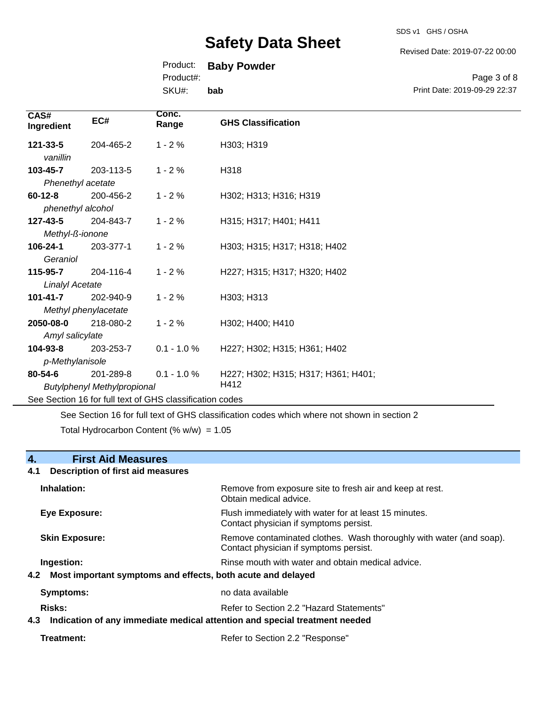SDS v1 GHS / OSHA

Revised Date: 2019-07-22 00:00

Print Date: 2019-09-29 22:37

Page 3 of 8

### Product: **Baby Powder**

Product#:

SKU#: **bab**

| CAS#<br>Ingredient     | EC#                                | Conc.<br>Range                                           | <b>GHS Classification</b>           |
|------------------------|------------------------------------|----------------------------------------------------------|-------------------------------------|
| 121-33-5<br>vanillin   | 204-465-2                          | $1 - 2%$                                                 | H303; H319                          |
| 103-45-7               | 203-113-5                          | $1 - 2%$                                                 | H318                                |
| Phenethyl acetate      |                                    |                                                          |                                     |
| $60 - 12 - 8$          | 200-456-2                          | $1 - 2%$                                                 | H302; H313; H316; H319              |
| phenethyl alcohol      |                                    |                                                          |                                     |
| 127-43-5               | 204-843-7                          | $1 - 2%$                                                 | H315; H317; H401; H411              |
| Methyl-ß-ionone        |                                    |                                                          |                                     |
| 106-24-1               | 203-377-1                          | $1 - 2%$                                                 | H303; H315; H317; H318; H402        |
| Geraniol               |                                    |                                                          |                                     |
| 115-95-7               | 204-116-4                          | $1 - 2%$                                                 | H227; H315; H317; H320; H402        |
| <b>Linalyl Acetate</b> |                                    |                                                          |                                     |
| $101 - 41 - 7$         | 202-940-9                          | $1 - 2%$                                                 | H303; H313                          |
|                        | Methyl phenylacetate               |                                                          |                                     |
| 2050-08-0              | 218-080-2                          | $1 - 2%$                                                 | H302; H400; H410                    |
| Amyl salicylate        |                                    |                                                          |                                     |
| 104-93-8               | 203-253-7                          | $0.1 - 1.0 %$                                            | H227; H302; H315; H361; H402        |
| p-Methylanisole        |                                    |                                                          |                                     |
| 80-54-6                | 201-289-8                          | $0.1 - 1.0 %$                                            | H227; H302; H315; H317; H361; H401; |
|                        | <b>Butylphenyl Methylpropional</b> |                                                          | H412                                |
|                        |                                    | See Section 16 for full text of GHS classification codes |                                     |

See Section 16 for full text of GHS classification codes which where not shown in section 2

Total Hydrocarbon Content (%  $w/w$ ) = 1.05

### **4. First Aid Measures**

### **4.1 Description of first aid measures Inhalation:** Remove from exposure site to fresh air and keep at rest. Obtain medical advice. **Eye Exposure:** FIUSh immediately with water for at least 15 minutes. Contact physician if symptoms persist. **Skin Exposure: Remove contaminated clothes. Wash thoroughly with water (and soap).** Remove contaminated clothes. Wash thoroughly with water (and soap). Contact physician if symptoms persist. **Ingestion: Rinse mouth with water and obtain medical advice. In all of the state of the Rinse mouth with water and obtain medical advice. 4.2 Most important symptoms and effects, both acute and delayed Symptoms:** no data available Risks: **Risks:** Refer to Section 2.2 "Hazard Statements" **4.3 Indication of any immediate medical attention and special treatment needed**

**Treatment:** Refer to Section 2.2 "Response"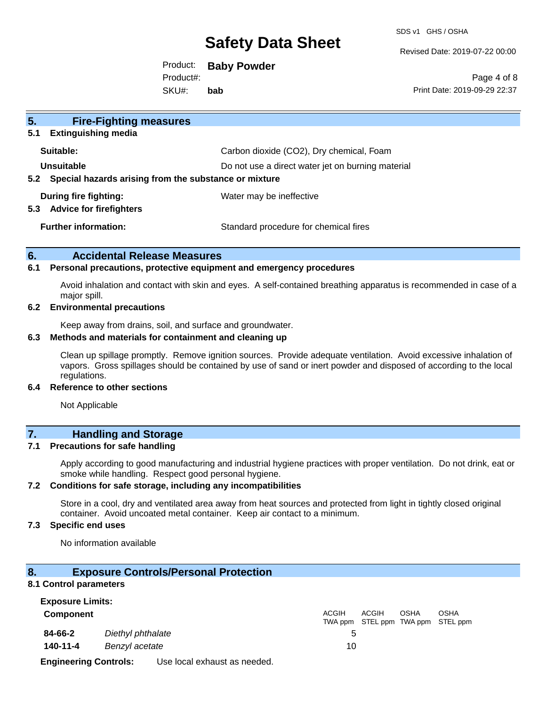SDS v1 GHS / OSHA

Revised Date: 2019-07-22 00:00

Product: **Baby Powder** SKU#: Product#: **bab**

Page 4 of 8 Print Date: 2019-09-29 22:37

| 5 <sub>1</sub><br><b>Fire-Fighting measures</b><br><b>Extinguishing media</b><br>5.1 |                                                   |
|--------------------------------------------------------------------------------------|---------------------------------------------------|
| Suitable:                                                                            | Carbon dioxide (CO2), Dry chemical, Foam          |
| Unsuitable<br>Special hazards arising from the substance or mixture<br>$5.2^{\circ}$ | Do not use a direct water jet on burning material |
| During fire fighting:<br><b>Advice for firefighters</b><br>5.3                       | Water may be ineffective                          |
| <b>Further information:</b>                                                          | Standard procedure for chemical fires             |

### **6. Accidental Release Measures**

#### **6.1 Personal precautions, protective equipment and emergency procedures**

Avoid inhalation and contact with skin and eyes. A self-contained breathing apparatus is recommended in case of a major spill.

#### **6.2 Environmental precautions**

Keep away from drains, soil, and surface and groundwater.

### **6.3 Methods and materials for containment and cleaning up**

Clean up spillage promptly. Remove ignition sources. Provide adequate ventilation. Avoid excessive inhalation of vapors. Gross spillages should be contained by use of sand or inert powder and disposed of according to the local regulations.

### **6.4 Reference to other sections**

Not Applicable

### **7. Handling and Storage**

#### **7.1 Precautions for safe handling**

Apply according to good manufacturing and industrial hygiene practices with proper ventilation. Do not drink, eat or smoke while handling. Respect good personal hygiene.

### **7.2 Conditions for safe storage, including any incompatibilities**

Store in a cool, dry and ventilated area away from heat sources and protected from light in tightly closed original container. Avoid uncoated metal container. Keep air contact to a minimum.

### **7.3 Specific end uses**

No information available

### **8. Exposure Controls/Personal Protection**

#### **8.1 Control parameters**

| <b>Exposure Limits:</b>      |                   |                              |              |       |             |                                                  |
|------------------------------|-------------------|------------------------------|--------------|-------|-------------|--------------------------------------------------|
| <b>Component</b>             |                   |                              | <b>ACGIH</b> | ACGIH | <b>OSHA</b> | <b>OSHA</b><br>TWA ppm STEL ppm TWA ppm STEL ppm |
| 84-66-2                      | Diethyl phthalate |                              |              |       |             |                                                  |
| 140-11-4                     | Benzyl acetate    |                              | 10           |       |             |                                                  |
| <b>Engineering Controls:</b> |                   | Use local exhaust as needed. |              |       |             |                                                  |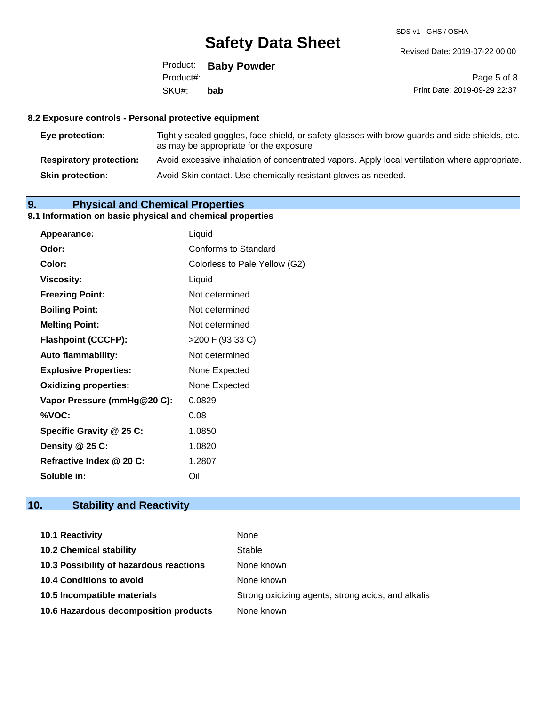SDS v1 GHS / OSHA

Revised Date: 2019-07-22 00:00

| Product:  | <b>Baby Powder</b> |
|-----------|--------------------|
| Product#: |                    |
| SKU#:     | bab                |

Page 5 of 8 Print Date: 2019-09-29 22:37

### **8.2 Exposure controls - Personal protective equipment**

| Eye protection:                | Tightly sealed goggles, face shield, or safety glasses with brow guards and side shields, etc.<br>as may be appropriate for the exposure |
|--------------------------------|------------------------------------------------------------------------------------------------------------------------------------------|
| <b>Respiratory protection:</b> | Avoid excessive inhalation of concentrated vapors. Apply local ventilation where appropriate.                                            |
| <b>Skin protection:</b>        | Avoid Skin contact. Use chemically resistant gloves as needed.                                                                           |

### **9. Physical and Chemical Properties**

### **9.1 Information on basic physical and chemical properties**

| Appearance:                  | Liquid                        |
|------------------------------|-------------------------------|
| Odor:                        | Conforms to Standard          |
| Color:                       | Colorless to Pale Yellow (G2) |
| <b>Viscosity:</b>            | Liquid                        |
| <b>Freezing Point:</b>       | Not determined                |
| <b>Boiling Point:</b>        | Not determined                |
| <b>Melting Point:</b>        | Not determined                |
| <b>Flashpoint (CCCFP):</b>   | >200 F (93.33 C)              |
| <b>Auto flammability:</b>    | Not determined                |
| <b>Explosive Properties:</b> | None Expected                 |
| <b>Oxidizing properties:</b> | None Expected                 |
| Vapor Pressure (mmHg@20 C):  | 0.0829                        |
| %VOC:                        | 0.08                          |
| Specific Gravity @ 25 C:     | 1.0850                        |
| Density @ 25 C:              | 1.0820                        |
| Refractive Index @ 20 C:     | 1.2807                        |
| Soluble in:                  | Oil                           |

### **10. Stability and Reactivity**

| 10.1 Reactivity                         | None                                               |
|-----------------------------------------|----------------------------------------------------|
| <b>10.2 Chemical stability</b>          | Stable                                             |
| 10.3 Possibility of hazardous reactions | None known                                         |
| <b>10.4 Conditions to avoid</b>         | None known                                         |
| 10.5 Incompatible materials             | Strong oxidizing agents, strong acids, and alkalis |
| 10.6 Hazardous decomposition products   | None known                                         |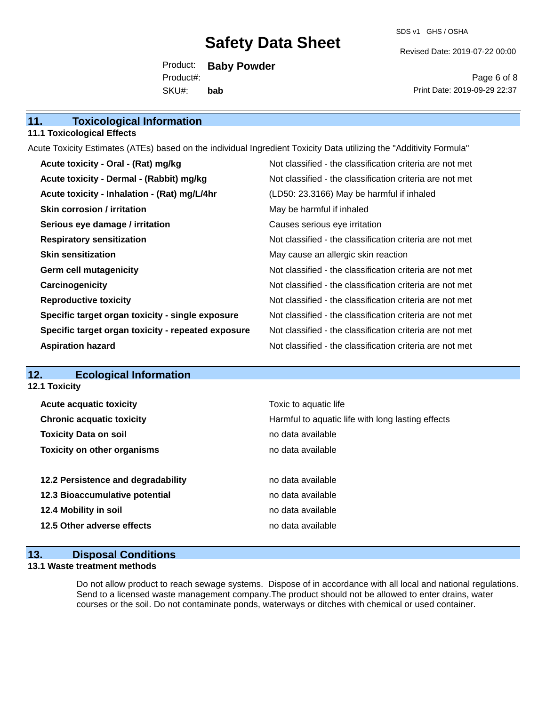SDS v1 GHS / OSHA

Revised Date: 2019-07-22 00:00

Product: **Baby Powder** SKU#: Product#: **bab**

Page 6 of 8 Print Date: 2019-09-29 22:37

| <b>Toxicological Information</b><br>11.                                                                             |                                                          |
|---------------------------------------------------------------------------------------------------------------------|----------------------------------------------------------|
| <b>11.1 Toxicological Effects</b>                                                                                   |                                                          |
| Acute Toxicity Estimates (ATEs) based on the individual Ingredient Toxicity Data utilizing the "Additivity Formula" |                                                          |
| Acute toxicity - Oral - (Rat) mg/kg                                                                                 | Not classified - the classification criteria are not met |
| Acute toxicity - Dermal - (Rabbit) mg/kg                                                                            | Not classified - the classification criteria are not met |
| Acute toxicity - Inhalation - (Rat) mg/L/4hr                                                                        | (LD50: 23.3166) May be harmful if inhaled                |
| <b>Skin corrosion / irritation</b>                                                                                  | May be harmful if inhaled                                |
| Serious eye damage / irritation                                                                                     | Causes serious eye irritation                            |
| <b>Respiratory sensitization</b>                                                                                    | Not classified - the classification criteria are not met |
| <b>Skin sensitization</b>                                                                                           | May cause an allergic skin reaction                      |
| <b>Germ cell mutagenicity</b>                                                                                       | Not classified - the classification criteria are not met |
| Carcinogenicity                                                                                                     | Not classified - the classification criteria are not met |
| <b>Reproductive toxicity</b>                                                                                        | Not classified - the classification criteria are not met |
| Specific target organ toxicity - single exposure                                                                    | Not classified - the classification criteria are not met |
| Specific target organ toxicity - repeated exposure                                                                  | Not classified - the classification criteria are not met |
| <b>Aspiration hazard</b>                                                                                            | Not classified - the classification criteria are not met |
|                                                                                                                     |                                                          |
| _______                                                                                                             |                                                          |

### **12. Ecological Information**

**12.1 Toxicity**

|                              | <b>Acute acquatic toxicity</b>     | Toxic to aquatic life                             |
|------------------------------|------------------------------------|---------------------------------------------------|
|                              | <b>Chronic acquatic toxicity</b>   | Harmful to aquatic life with long lasting effects |
| <b>Toxicity Data on soil</b> |                                    | no data available                                 |
|                              | <b>Toxicity on other organisms</b> | no data available                                 |
|                              |                                    |                                                   |
|                              | 12.2 Persistence and degradability | no data available                                 |
|                              | 12.3 Bioaccumulative potential     | no data available                                 |
| 12.4 Mobility in soil        |                                    | no data available                                 |
|                              | 12.5 Other adverse effects         | no data available                                 |
|                              |                                    |                                                   |

### **13. Disposal Conditions**

### **13.1 Waste treatment methods**

Do not allow product to reach sewage systems. Dispose of in accordance with all local and national regulations. Send to a licensed waste management company.The product should not be allowed to enter drains, water courses or the soil. Do not contaminate ponds, waterways or ditches with chemical or used container.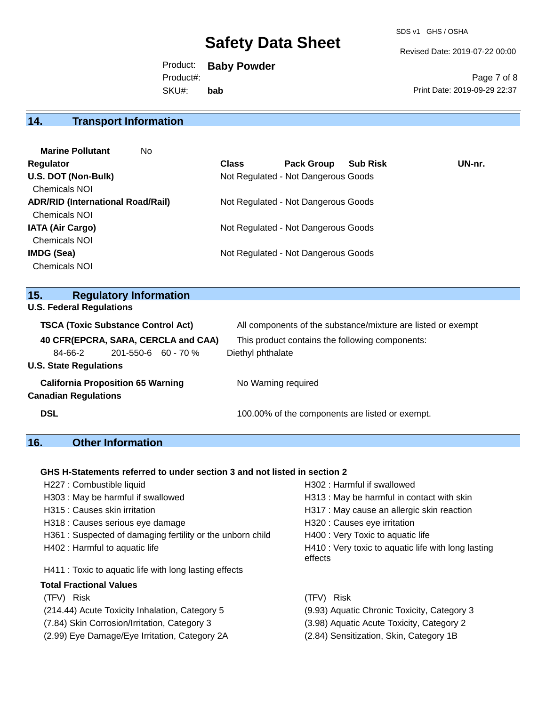Revised Date: 2019-07-22 00:00

Product: **Baby Powder** SKU#: Product#: **bab**

Page 7 of 8 Print Date: 2019-09-29 22:37

### **14. Transport Information**

| <b>Marine Pollutant</b><br>No            |              |                                     |                 |        |
|------------------------------------------|--------------|-------------------------------------|-----------------|--------|
| <b>Regulator</b>                         | <b>Class</b> | <b>Pack Group</b>                   | <b>Sub Risk</b> | UN-nr. |
| U.S. DOT (Non-Bulk)                      |              | Not Regulated - Not Dangerous Goods |                 |        |
| <b>Chemicals NOI</b>                     |              |                                     |                 |        |
| <b>ADR/RID (International Road/Rail)</b> |              | Not Regulated - Not Dangerous Goods |                 |        |
| <b>Chemicals NOI</b>                     |              |                                     |                 |        |
| <b>IATA (Air Cargo)</b>                  |              | Not Regulated - Not Dangerous Goods |                 |        |
| Chemicals NOI                            |              |                                     |                 |        |
| IMDG (Sea)                               |              | Not Regulated - Not Dangerous Goods |                 |        |
| <b>Chemicals NOI</b>                     |              |                                     |                 |        |
|                                          |              |                                     |                 |        |

### **15. Regulatory Information**

**U.S. Federal Regulations**

| <b>TSCA (Toxic Substance Control Act)</b> |                           |  | All components of the substance/mixture are listed or exempt |  |  |
|-------------------------------------------|---------------------------|--|--------------------------------------------------------------|--|--|
| 40 CFR(EPCRA, SARA, CERCLA and CAA)       |                           |  | This product contains the following components:              |  |  |
| 84-66-2                                   | $201 - 550 - 6$ 60 - 70 % |  | Diethyl phthalate                                            |  |  |
| <b>U.S. State Regulations</b>             |                           |  |                                                              |  |  |
| <b>California Proposition 65 Warning</b>  |                           |  | No Warning required                                          |  |  |
| <b>Canadian Regulations</b>               |                           |  |                                                              |  |  |
| <b>DSL</b>                                |                           |  | 100.00% of the components are listed or exempt.              |  |  |

### **16. Other Information**

### **GHS H-Statements referred to under section 3 and not listed in section 2**

| H227 : Combustible liquid                                 | H302: Harmful if swallowed                                     |
|-----------------------------------------------------------|----------------------------------------------------------------|
| H303 : May be harmful if swallowed                        | H313 : May be harmful in contact with skin                     |
| H315 : Causes skin irritation                             | H317 : May cause an allergic skin reaction                     |
| H318 : Causes serious eye damage                          | H320 : Causes eye irritation                                   |
| H361: Suspected of damaging fertility or the unborn child | H400 : Very Toxic to aquatic life                              |
| H402 : Harmful to aquatic life                            | H410 : Very toxic to aquatic life with long lasting<br>effects |
| H411 : Toxic to aquatic life with long lasting effects    |                                                                |
| <b>Total Fractional Values</b>                            |                                                                |
| (TFV) Risk                                                | <b>Risk</b><br>(TFV).                                          |
| (214.44) Acute Toxicity Inhalation, Category 5            | (9.93) Aquatic Chronic Toxicity, Category 3                    |
| (7.84) Skin Corrosion/Irritation, Category 3              | (3.98) Aquatic Acute Toxicity, Category 2                      |

(2.99) Eye Damage/Eye Irritation, Category 2A (2.84) Sensitization, Skin, Category 1B

- 
-